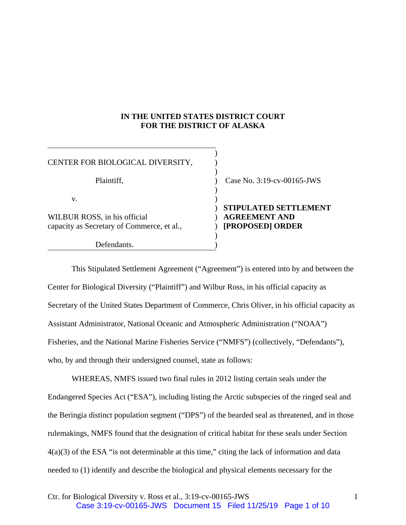## **IN THE UNITED STATES DISTRICT COURT FOR THE DISTRICT OF ALASKA**

)

)

)

| CENTER FOR BIOLOGICAL DIVERSITY,                                           |  |
|----------------------------------------------------------------------------|--|
| Plaintiff,                                                                 |  |
| $V_{-}$                                                                    |  |
| WILBUR ROSS, in his official<br>capacity as Secretary of Commerce, et al., |  |
| Defendants.                                                                |  |

Case No.  $3:19$ -cv-00165-JWS

## ) **STIPULATED SETTLEMENT AGREEMENT AND** capacity as Secretary of Commerce, et al., ) **[PROPOSED] ORDER**

This Stipulated Settlement Agreement ("Agreement") is entered into by and between the Center for Biological Diversity ("Plaintiff") and Wilbur Ross, in his official capacity as Secretary of the United States Department of Commerce, Chris Oliver, in his official capacity as Assistant Administrator, National Oceanic and Atmospheric Administration ("NOAA") Fisheries, and the National Marine Fisheries Service ("NMFS") (collectively, "Defendants"), who, by and through their undersigned counsel, state as follows:

WHEREAS, NMFS issued two final rules in 2012 listing certain seals under the Endangered Species Act ("ESA"), including listing the Arctic subspecies of the ringed seal and the Beringia distinct population segment ("DPS") of the bearded seal as threatened, and in those rulemakings, NMFS found that the designation of critical habitat for these seals under Section 4(a)(3) of the ESA "is not determinable at this time," citing the lack of information and data needed to (1) identify and describe the biological and physical elements necessary for the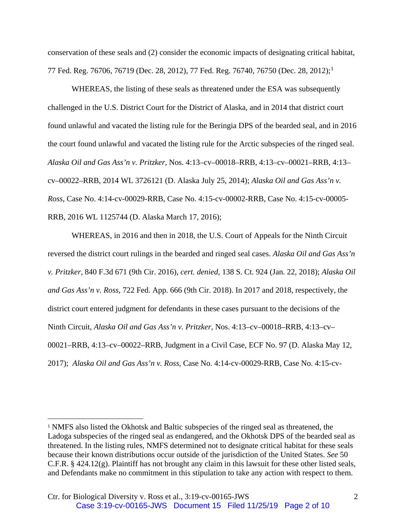conservation of these seals and (2) consider the economic impacts of designating critical habitat, 77 Fed. Reg. 76706, 76719 (Dec. 28, 2012), 77 Fed. Reg. 76740, 76750 (Dec. 28, 2012); 1

WHEREAS, the listing of these seals as threatened under the ESA was subsequently challenged in the U.S. District Court for the District of Alaska, and in 2014 that district court found unlawful and vacated the listing rule for the Beringia DPS of the bearded seal, and in 2016 the court found unlawful and vacated the listing rule for the Arctic subspecies of the ringed seal. *Alaska Oil and Gas Ass'n v. Pritzker*, Nos. 4:13–cv–00018–RRB, 4:13–cv–00021–RRB, 4:13– cv–00022–RRB, 2014 WL 3726121 (D. Alaska July 25, 2014); *Alaska Oil and Gas Ass'n v. Ross*, Case No. 4:14-cv-00029-RRB, Case No. 4:15-cv-00002-RRB, Case No. 4:15-cv-00005- RRB, 2016 WL 1125744 (D. Alaska March 17, 2016);

WHEREAS, in 2016 and then in 2018, the U.S. Court of Appeals for the Ninth Circuit reversed the district court rulings in the bearded and ringed seal cases. *Alaska Oil and Gas Ass'n v. Pritzker*, 840 F.3d 671 (9th Cir. 2016), *cert. denied*, 138 S. Ct. 924 (Jan. 22, 2018); *Alaska Oil and Gas Ass'n v. Ross*, 722 Fed. App. 666 (9th Cir. 2018). In 2017 and 2018, respectively, the district court entered judgment for defendants in these cases pursuant to the decisions of the Ninth Circuit, *Alaska Oil and Gas Ass'n v. Pritzker*, Nos. 4:13–cv–00018–RRB, 4:13–cv– 00021–RRB, 4:13–cv–00022–RRB, Judgment in a Civil Case, ECF No. 97 (D. Alaska May 12, 2017); *Alaska Oil and Gas Ass'n v. Ross*, Case No. 4:14-cv-00029-RRB, Case No. 4:15-cv-

 <sup>1</sup> NMFS also listed the Okhotsk and Baltic subspecies of the ringed seal as threatened, the Ladoga subspecies of the ringed seal as endangered, and the Okhotsk DPS of the bearded seal as threatened. In the listing rules, NMFS determined not to designate critical habitat for these seals because their known distributions occur outside of the jurisdiction of the United States. *See* 50 C.F.R. § 424.12(g). Plaintiff has not brought any claim in this lawsuit for these other listed seals, and Defendants make no commitment in this stipulation to take any action with respect to them.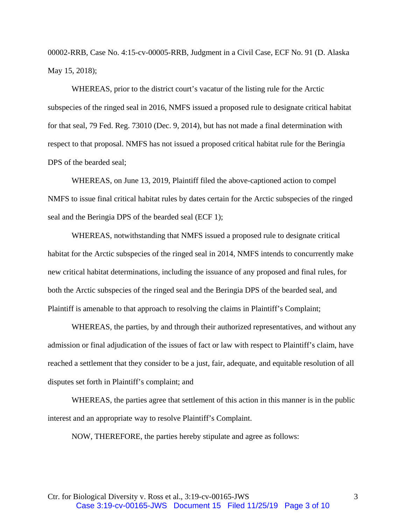00002-RRB, Case No. 4:15-cv-00005-RRB, Judgment in a Civil Case, ECF No. 91 (D. Alaska May 15, 2018);

WHEREAS, prior to the district court's vacatur of the listing rule for the Arctic subspecies of the ringed seal in 2016, NMFS issued a proposed rule to designate critical habitat for that seal, 79 Fed. Reg. 73010 (Dec. 9, 2014), but has not made a final determination with respect to that proposal. NMFS has not issued a proposed critical habitat rule for the Beringia DPS of the bearded seal;

WHEREAS, on June 13, 2019, Plaintiff filed the above-captioned action to compel NMFS to issue final critical habitat rules by dates certain for the Arctic subspecies of the ringed seal and the Beringia DPS of the bearded seal (ECF 1);

WHEREAS, notwithstanding that NMFS issued a proposed rule to designate critical habitat for the Arctic subspecies of the ringed seal in 2014, NMFS intends to concurrently make new critical habitat determinations, including the issuance of any proposed and final rules, for both the Arctic subspecies of the ringed seal and the Beringia DPS of the bearded seal, and Plaintiff is amenable to that approach to resolving the claims in Plaintiff's Complaint;

WHEREAS, the parties, by and through their authorized representatives, and without any admission or final adjudication of the issues of fact or law with respect to Plaintiff's claim, have reached a settlement that they consider to be a just, fair, adequate, and equitable resolution of all disputes set forth in Plaintiff's complaint; and

WHEREAS, the parties agree that settlement of this action in this manner is in the public interest and an appropriate way to resolve Plaintiff's Complaint.

NOW, THEREFORE, the parties hereby stipulate and agree as follows: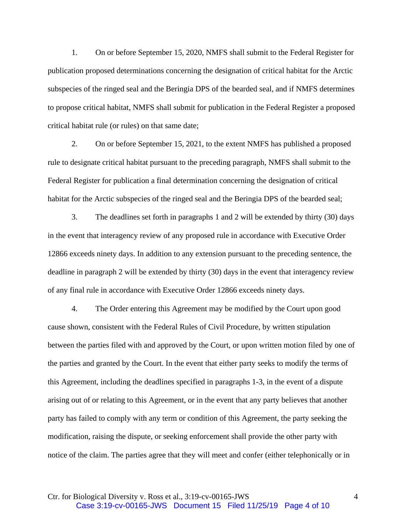1. On or before September 15, 2020, NMFS shall submit to the Federal Register for publication proposed determinations concerning the designation of critical habitat for the Arctic subspecies of the ringed seal and the Beringia DPS of the bearded seal, and if NMFS determines to propose critical habitat, NMFS shall submit for publication in the Federal Register a proposed critical habitat rule (or rules) on that same date;

2. On or before September 15, 2021, to the extent NMFS has published a proposed rule to designate critical habitat pursuant to the preceding paragraph, NMFS shall submit to the Federal Register for publication a final determination concerning the designation of critical habitat for the Arctic subspecies of the ringed seal and the Beringia DPS of the bearded seal;

3. The deadlines set forth in paragraphs 1 and 2 will be extended by thirty (30) days in the event that interagency review of any proposed rule in accordance with Executive Order 12866 exceeds ninety days. In addition to any extension pursuant to the preceding sentence, the deadline in paragraph 2 will be extended by thirty (30) days in the event that interagency review of any final rule in accordance with Executive Order 12866 exceeds ninety days.

4. The Order entering this Agreement may be modified by the Court upon good cause shown, consistent with the Federal Rules of Civil Procedure, by written stipulation between the parties filed with and approved by the Court, or upon written motion filed by one of the parties and granted by the Court. In the event that either party seeks to modify the terms of this Agreement, including the deadlines specified in paragraphs 1-3, in the event of a dispute arising out of or relating to this Agreement, or in the event that any party believes that another party has failed to comply with any term or condition of this Agreement, the party seeking the modification, raising the dispute, or seeking enforcement shall provide the other party with notice of the claim. The parties agree that they will meet and confer (either telephonically or in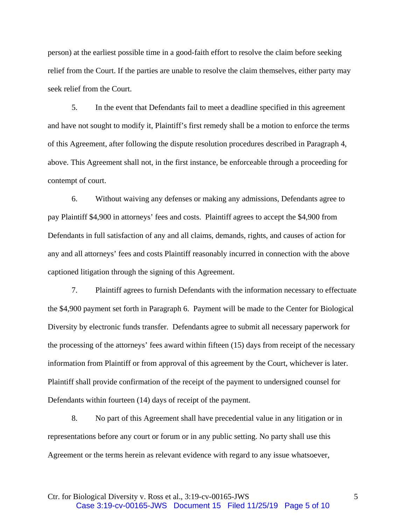person) at the earliest possible time in a good-faith effort to resolve the claim before seeking relief from the Court. If the parties are unable to resolve the claim themselves, either party may seek relief from the Court.

5. In the event that Defendants fail to meet a deadline specified in this agreement and have not sought to modify it, Plaintiff's first remedy shall be a motion to enforce the terms of this Agreement, after following the dispute resolution procedures described in Paragraph 4, above. This Agreement shall not, in the first instance, be enforceable through a proceeding for contempt of court.

6. Without waiving any defenses or making any admissions, Defendants agree to pay Plaintiff \$4,900 in attorneys' fees and costs. Plaintiff agrees to accept the \$4,900 from Defendants in full satisfaction of any and all claims, demands, rights, and causes of action for any and all attorneys' fees and costs Plaintiff reasonably incurred in connection with the above captioned litigation through the signing of this Agreement.

7. Plaintiff agrees to furnish Defendants with the information necessary to effectuate the \$4,900 payment set forth in Paragraph 6. Payment will be made to the Center for Biological Diversity by electronic funds transfer. Defendants agree to submit all necessary paperwork for the processing of the attorneys' fees award within fifteen (15) days from receipt of the necessary information from Plaintiff or from approval of this agreement by the Court, whichever is later. Plaintiff shall provide confirmation of the receipt of the payment to undersigned counsel for Defendants within fourteen (14) days of receipt of the payment.

8. No part of this Agreement shall have precedential value in any litigation or in representations before any court or forum or in any public setting. No party shall use this Agreement or the terms herein as relevant evidence with regard to any issue whatsoever,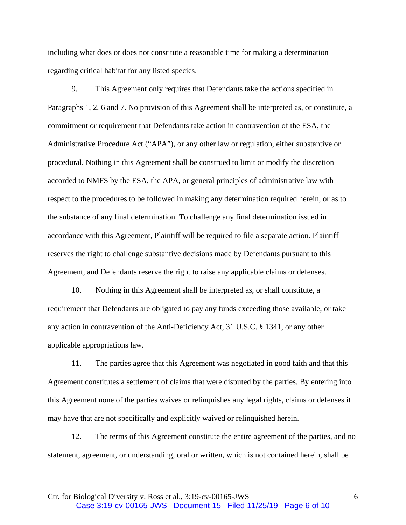including what does or does not constitute a reasonable time for making a determination regarding critical habitat for any listed species.

9. This Agreement only requires that Defendants take the actions specified in Paragraphs 1, 2, 6 and 7. No provision of this Agreement shall be interpreted as, or constitute, a commitment or requirement that Defendants take action in contravention of the ESA, the Administrative Procedure Act ("APA"), or any other law or regulation, either substantive or procedural. Nothing in this Agreement shall be construed to limit or modify the discretion accorded to NMFS by the ESA, the APA, or general principles of administrative law with respect to the procedures to be followed in making any determination required herein, or as to the substance of any final determination. To challenge any final determination issued in accordance with this Agreement, Plaintiff will be required to file a separate action. Plaintiff reserves the right to challenge substantive decisions made by Defendants pursuant to this Agreement, and Defendants reserve the right to raise any applicable claims or defenses.

10. Nothing in this Agreement shall be interpreted as, or shall constitute, a requirement that Defendants are obligated to pay any funds exceeding those available, or take any action in contravention of the Anti-Deficiency Act, 31 U.S.C. § 1341, or any other applicable appropriations law.

11. The parties agree that this Agreement was negotiated in good faith and that this Agreement constitutes a settlement of claims that were disputed by the parties. By entering into this Agreement none of the parties waives or relinquishes any legal rights, claims or defenses it may have that are not specifically and explicitly waived or relinquished herein.

12. The terms of this Agreement constitute the entire agreement of the parties, and no statement, agreement, or understanding, oral or written, which is not contained herein, shall be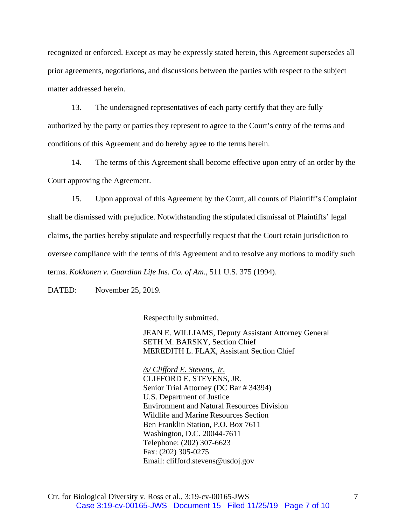recognized or enforced. Except as may be expressly stated herein, this Agreement supersedes all prior agreements, negotiations, and discussions between the parties with respect to the subject matter addressed herein.

13. The undersigned representatives of each party certify that they are fully authorized by the party or parties they represent to agree to the Court's entry of the terms and conditions of this Agreement and do hereby agree to the terms herein.

14. The terms of this Agreement shall become effective upon entry of an order by the Court approving the Agreement.

15. Upon approval of this Agreement by the Court, all counts of Plaintiff's Complaint shall be dismissed with prejudice. Notwithstanding the stipulated dismissal of Plaintiffs' legal claims, the parties hereby stipulate and respectfully request that the Court retain jurisdiction to oversee compliance with the terms of this Agreement and to resolve any motions to modify such terms. *Kokkonen v. Guardian Life Ins. Co. of Am.*, 511 U.S. 375 (1994).

DATED: November 25, 2019.

Respectfully submitted,

JEAN E. WILLIAMS, Deputy Assistant Attorney General SETH M. BARSKY, Section Chief MEREDITH L. FLAX, Assistant Section Chief

*/s/ Clifford E. Stevens, Jr.*  CLIFFORD E. STEVENS, JR. Senior Trial Attorney (DC Bar # 34394) U.S. Department of Justice Environment and Natural Resources Division Wildlife and Marine Resources Section Ben Franklin Station, P.O. Box 7611 Washington, D.C. 20044-7611 Telephone: (202) 307-6623 Fax: (202) 305-0275 Email: clifford.stevens@usdoj.gov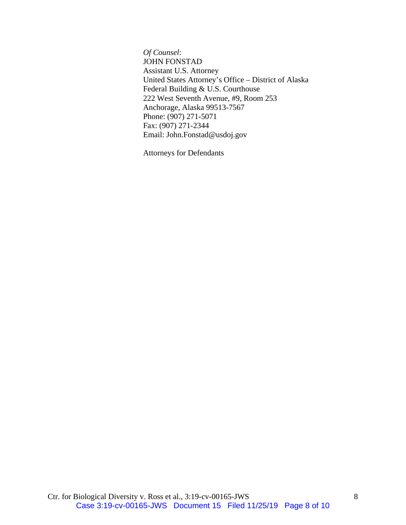*Of Counsel*: JOHN FONSTAD Assistant U.S. Attorney United States Attorney's Office – District of Alaska Federal Building & U.S. Courthouse 222 West Seventh Avenue, #9, Room 253 Anchorage, Alaska 99513-7567 Phone: (907) 271-5071 Fax: (907) 271-2344 Email: John.Fonstad@usdoj.gov

Attorneys for Defendants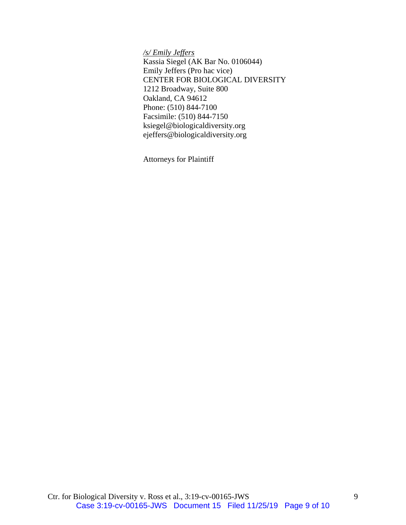*/s/ Emily Jeffers* 

Kassia Siegel (AK Bar No. 0106044) Emily Jeffers (Pro hac vice) CENTER FOR BIOLOGICAL DIVERSITY 1212 Broadway, Suite 800 Oakland, CA 94612 Phone: (510) 844-7100 Facsimile: (510) 844-7150 ksiegel@biologicaldiversity.org ejeffers@biologicaldiversity.org

Attorneys for Plaintiff